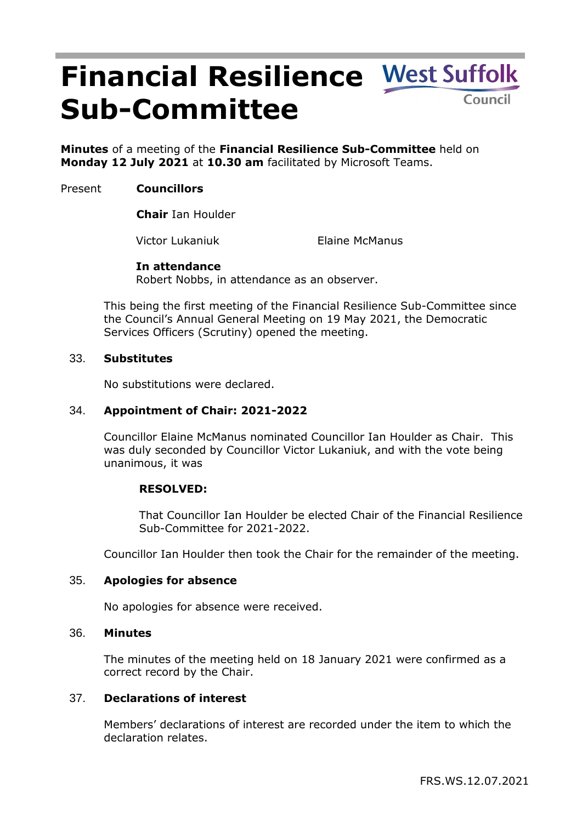# **Financial Resilience Sub-Committee**

**Minutes** of a meeting of the **Financial Resilience Sub-Committee** held on **Monday 12 July 2021** at **10.30 am** facilitated by Microsoft Teams.

# Present **Councillors**

**Chair** Ian Houlder

Victor Lukaniuk Elaine McManus

## **In attendance**

Robert Nobbs, in attendance as an observer.

This being the first meeting of the Financial Resilience Sub-Committee since the Council's Annual General Meeting on 19 May 2021, the Democratic Services Officers (Scrutiny) opened the meeting.

## 33. **Substitutes**

No substitutions were declared.

# 34. **Appointment of Chair: 2021-2022**

Councillor Elaine McManus nominated Councillor Ian Houlder as Chair. This was duly seconded by Councillor Victor Lukaniuk, and with the vote being unanimous, it was

## **RESOLVED:**

That Councillor Ian Houlder be elected Chair of the Financial Resilience Sub-Committee for 2021-2022.

Councillor Ian Houlder then took the Chair for the remainder of the meeting.

## 35. **Apologies for absence**

No apologies for absence were received.

#### 36. **Minutes**

The minutes of the meeting held on 18 January 2021 were confirmed as a correct record by the Chair.

# 37. **Declarations of interest**

Members' declarations of interest are recorded under the item to which the declaration relates.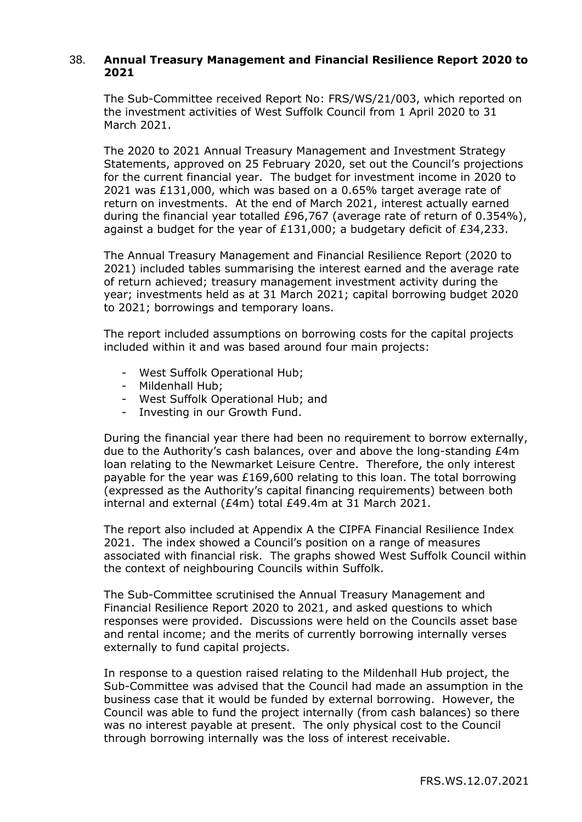# 38. **Annual Treasury Management and Financial Resilience Report 2020 to 2021**

The Sub-Committee received Report No: FRS/WS/21/003, which reported on the investment activities of West Suffolk Council from 1 April 2020 to 31 March 2021.

The 2020 to 2021 Annual Treasury Management and Investment Strategy Statements, approved on 25 February 2020, set out the Council's projections for the current financial year. The budget for investment income in 2020 to 2021 was £131,000, which was based on a 0.65% target average rate of return on investments. At the end of March 2021, interest actually earned during the financial year totalled £96,767 (average rate of return of 0.354%), against a budget for the year of £131,000; a budgetary deficit of £34,233.

The Annual Treasury Management and Financial Resilience Report (2020 to 2021) included tables summarising the interest earned and the average rate of return achieved; treasury management investment activity during the year; investments held as at 31 March 2021; capital borrowing budget 2020 to 2021; borrowings and temporary loans.

The report included assumptions on borrowing costs for the capital projects included within it and was based around four main projects:

- West Suffolk Operational Hub;
- Mildenhall Hub;
- West Suffolk Operational Hub; and
- Investing in our Growth Fund.

During the financial year there had been no requirement to borrow externally, due to the Authority's cash balances, over and above the long-standing £4m loan relating to the Newmarket Leisure Centre. Therefore, the only interest payable for the year was £169,600 relating to this loan. The total borrowing (expressed as the Authority's capital financing requirements) between both internal and external (£4m) total £49.4m at 31 March 2021.

The report also included at Appendix A the CIPFA Financial Resilience Index 2021. The index showed a Council's position on a range of measures associated with financial risk. The graphs showed West Suffolk Council within the context of neighbouring Councils within Suffolk.

The Sub-Committee scrutinised the Annual Treasury Management and Financial Resilience Report 2020 to 2021, and asked questions to which responses were provided. Discussions were held on the Councils asset base and rental income; and the merits of currently borrowing internally verses externally to fund capital projects.

In response to a question raised relating to the Mildenhall Hub project, the Sub-Committee was advised that the Council had made an assumption in the business case that it would be funded by external borrowing. However, the Council was able to fund the project internally (from cash balances) so there was no interest payable at present. The only physical cost to the Council through borrowing internally was the loss of interest receivable.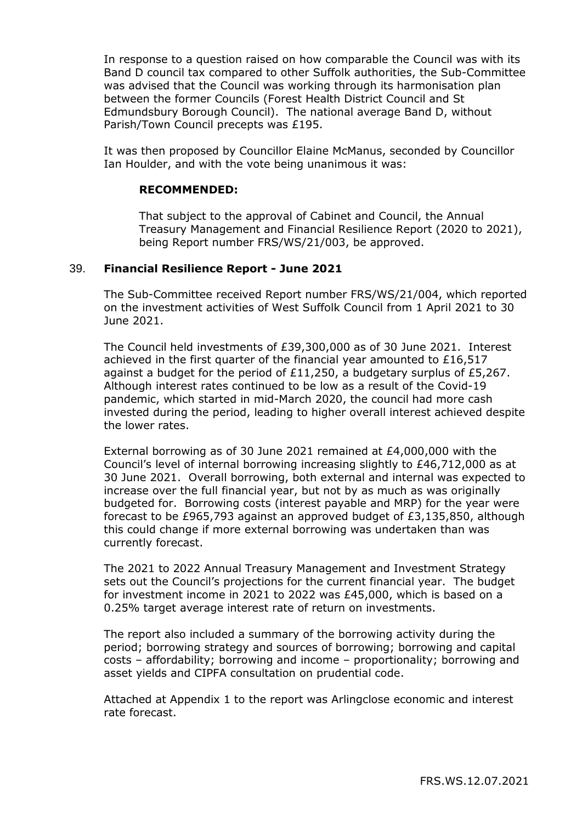In response to a question raised on how comparable the Council was with its Band D council tax compared to other Suffolk authorities, the Sub-Committee was advised that the Council was working through its harmonisation plan between the former Councils (Forest Health District Council and St Edmundsbury Borough Council). The national average Band D, without Parish/Town Council precepts was £195.

It was then proposed by Councillor Elaine McManus, seconded by Councillor Ian Houlder, and with the vote being unanimous it was:

### **RECOMMENDED:**

That subject to the approval of Cabinet and Council, the Annual Treasury Management and Financial Resilience Report (2020 to 2021), being Report number FRS/WS/21/003, be approved.

#### 39. **Financial Resilience Report - June 2021**

The Sub-Committee received Report number FRS/WS/21/004, which reported on the investment activities of West Suffolk Council from 1 April 2021 to 30 June 2021.

The Council held investments of £39,300,000 as of 30 June 2021. Interest achieved in the first quarter of the financial year amounted to £16,517 against a budget for the period of £11,250, a budgetary surplus of £5,267. Although interest rates continued to be low as a result of the Covid-19 pandemic, which started in mid-March 2020, the council had more cash invested during the period, leading to higher overall interest achieved despite the lower rates.

External borrowing as of 30 June 2021 remained at £4,000,000 with the Council's level of internal borrowing increasing slightly to £46,712,000 as at 30 June 2021. Overall borrowing, both external and internal was expected to increase over the full financial year, but not by as much as was originally budgeted for. Borrowing costs (interest payable and MRP) for the year were forecast to be £965,793 against an approved budget of £3,135,850, although this could change if more external borrowing was undertaken than was currently forecast.

The 2021 to 2022 Annual Treasury Management and Investment Strategy sets out the Council's projections for the current financial year. The budget for investment income in 2021 to 2022 was £45,000, which is based on a 0.25% target average interest rate of return on investments.

The report also included a summary of the borrowing activity during the period; borrowing strategy and sources of borrowing; borrowing and capital costs – affordability; borrowing and income – proportionality; borrowing and asset yields and CIPFA consultation on prudential code.

Attached at Appendix 1 to the report was Arlingclose economic and interest rate forecast.